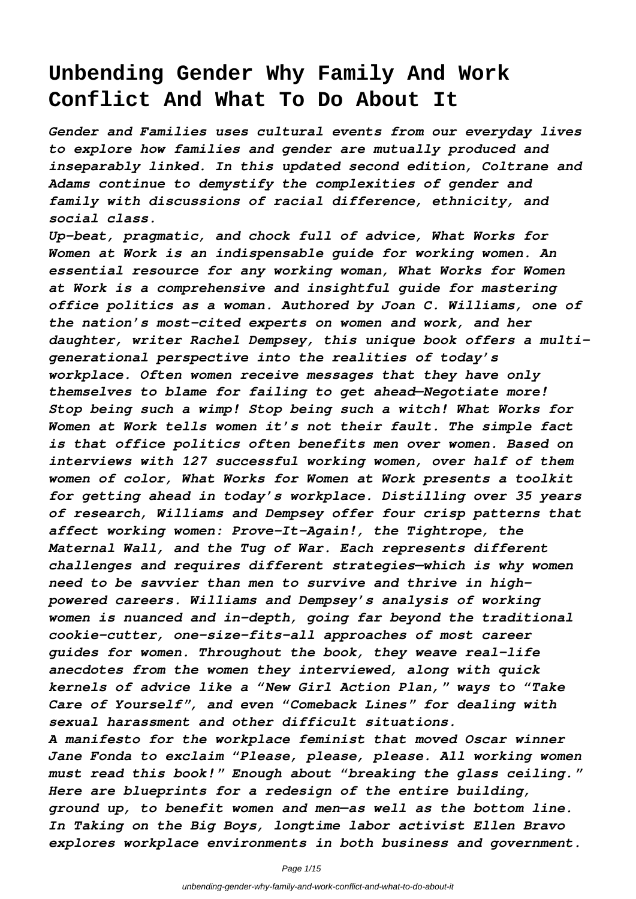# **Unbending Gender Why Family And Work Conflict And What To Do About It**

*Gender and Families uses cultural events from our everyday lives to explore how families and gender are mutually produced and inseparably linked. In this updated second edition, Coltrane and Adams continue to demystify the complexities of gender and family with discussions of racial difference, ethnicity, and social class.*

*Up-beat, pragmatic, and chock full of advice, What Works for Women at Work is an indispensable guide for working women. An essential resource for any working woman, What Works for Women at Work is a comprehensive and insightful guide for mastering office politics as a woman. Authored by Joan C. Williams, one of the nation's most-cited experts on women and work, and her daughter, writer Rachel Dempsey, this unique book offers a multigenerational perspective into the realities of today's workplace. Often women receive messages that they have only themselves to blame for failing to get ahead—Negotiate more! Stop being such a wimp! Stop being such a witch! What Works for Women at Work tells women it's not their fault. The simple fact is that office politics often benefits men over women. Based on interviews with 127 successful working women, over half of them women of color, What Works for Women at Work presents a toolkit for getting ahead in today's workplace. Distilling over 35 years of research, Williams and Dempsey offer four crisp patterns that affect working women: Prove-It-Again!, the Tightrope, the Maternal Wall, and the Tug of War. Each represents different challenges and requires different strategies—which is why women need to be savvier than men to survive and thrive in highpowered careers. Williams and Dempsey's analysis of working women is nuanced and in-depth, going far beyond the traditional cookie-cutter, one-size-fits-all approaches of most career guides for women. Throughout the book, they weave real-life anecdotes from the women they interviewed, along with quick kernels of advice like a "New Girl Action Plan," ways to "Take Care of Yourself", and even "Comeback Lines" for dealing with sexual harassment and other difficult situations. A manifesto for the workplace feminist that moved Oscar winner Jane Fonda to exclaim "Please, please, please. All working women must read this book!" Enough about "breaking the glass ceiling." Here are blueprints for a redesign of the entire building, ground up, to benefit women and men—as well as the bottom line.*

*In Taking on the Big Boys, longtime labor activist Ellen Bravo explores workplace environments in both business and government.*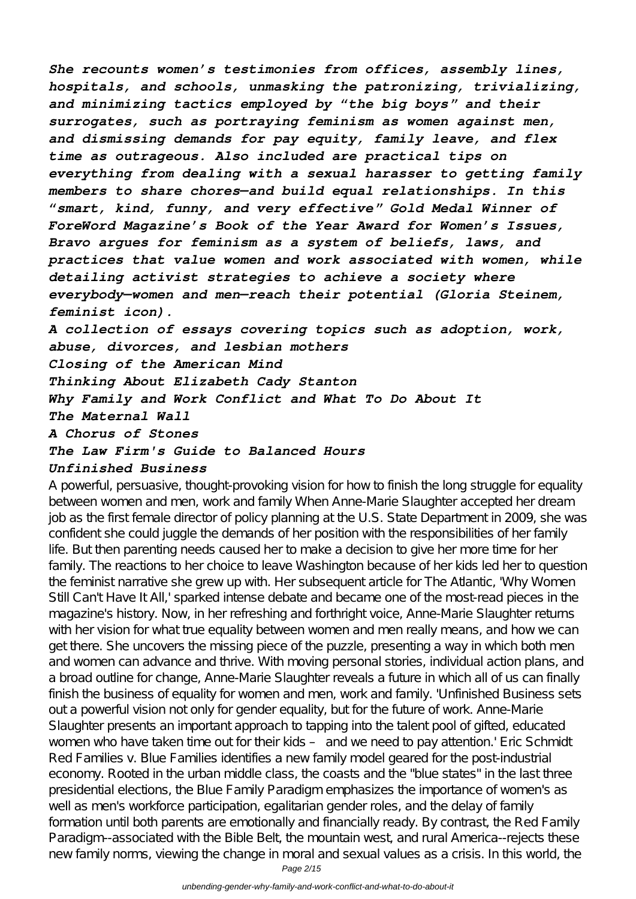*She recounts women's testimonies from offices, assembly lines, hospitals, and schools, unmasking the patronizing, trivializing, and minimizing tactics employed by "the big boys" and their surrogates, such as portraying feminism as women against men, and dismissing demands for pay equity, family leave, and flex time as outrageous. Also included are practical tips on everything from dealing with a sexual harasser to getting family members to share chores—and build equal relationships. In this "smart, kind, funny, and very effective" Gold Medal Winner of ForeWord Magazine's Book of the Year Award for Women's Issues, Bravo argues for feminism as a system of beliefs, laws, and practices that value women and work associated with women, while detailing activist strategies to achieve a society where everybody—women and men—reach their potential (Gloria Steinem, feminist icon). A collection of essays covering topics such as adoption, work, abuse, divorces, and lesbian mothers Closing of the American Mind Thinking About Elizabeth Cady Stanton*

*Why Family and Work Conflict and What To Do About It*

*The Maternal Wall*

*A Chorus of Stones*

#### *The Law Firm's Guide to Balanced Hours*

#### *Unfinished Business*

A powerful, persuasive, thought-provoking vision for how to finish the long struggle for equality between women and men, work and family When Anne-Marie Slaughter accepted her dream job as the first female director of policy planning at the U.S. State Department in 2009, she was confident she could juggle the demands of her position with the responsibilities of her family life. But then parenting needs caused her to make a decision to give her more time for her family. The reactions to her choice to leave Washington because of her kids led her to question the feminist narrative she grew up with. Her subsequent article for The Atlantic, 'Why Women Still Can't Have It All,' sparked intense debate and became one of the most-read pieces in the magazine's history. Now, in her refreshing and forthright voice, Anne-Marie Slaughter returns with her vision for what true equality between women and men really means, and how we can get there. She uncovers the missing piece of the puzzle, presenting a way in which both men and women can advance and thrive. With moving personal stories, individual action plans, and a broad outline for change, Anne-Marie Slaughter reveals a future in which all of us can finally finish the business of equality for women and men, work and family. 'Unfinished Business sets out a powerful vision not only for gender equality, but for the future of work. Anne-Marie Slaughter presents an important approach to tapping into the talent pool of gifted, educated women who have taken time out for their kids – and we need to pay attention.' Eric Schmidt Red Families v. Blue Families identifies a new family model geared for the post-industrial economy. Rooted in the urban middle class, the coasts and the "blue states" in the last three presidential elections, the Blue Family Paradigm emphasizes the importance of women's as well as men's workforce participation, egalitarian gender roles, and the delay of family formation until both parents are emotionally and financially ready. By contrast, the Red Family Paradigm--associated with the Bible Belt, the mountain west, and rural America--rejects these new family norms, viewing the change in moral and sexual values as a crisis. In this world, the

Page 2/15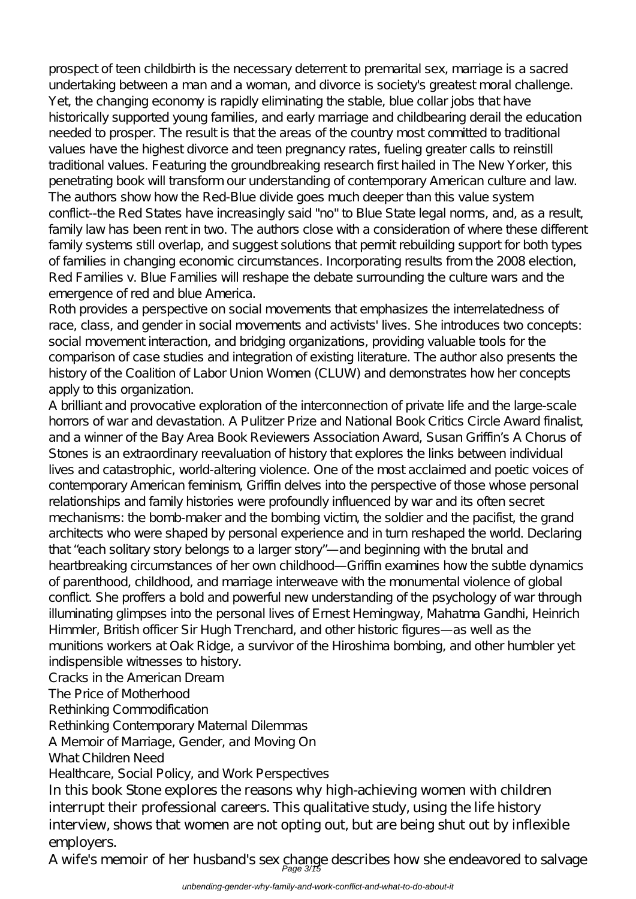prospect of teen childbirth is the necessary deterrent to premarital sex, marriage is a sacred undertaking between a man and a woman, and divorce is society's greatest moral challenge. Yet, the changing economy is rapidly eliminating the stable, blue collar jobs that have historically supported young families, and early marriage and childbearing derail the education needed to prosper. The result is that the areas of the country most committed to traditional values have the highest divorce and teen pregnancy rates, fueling greater calls to reinstill traditional values. Featuring the groundbreaking research first hailed in The New Yorker, this penetrating book will transform our understanding of contemporary American culture and law. The authors show how the Red-Blue divide goes much deeper than this value system conflict--the Red States have increasingly said "no" to Blue State legal norms, and, as a result, family law has been rent in two. The authors close with a consideration of where these different family systems still overlap, and suggest solutions that permit rebuilding support for both types of families in changing economic circumstances. Incorporating results from the 2008 election, Red Families v. Blue Families will reshape the debate surrounding the culture wars and the emergence of red and blue America.

Roth provides a perspective on social movements that emphasizes the interrelatedness of race, class, and gender in social movements and activists' lives. She introduces two concepts: social movement interaction, and bridging organizations, providing valuable tools for the comparison of case studies and integration of existing literature. The author also presents the history of the Coalition of Labor Union Women (CLUW) and demonstrates how her concepts apply to this organization.

A brilliant and provocative exploration of the interconnection of private life and the large-scale horrors of war and devastation. A Pulitzer Prize and National Book Critics Circle Award finalist, and a winner of the Bay Area Book Reviewers Association Award, Susan Griffin's A Chorus of Stones is an extraordinary reevaluation of history that explores the links between individual lives and catastrophic, world-altering violence. One of the most acclaimed and poetic voices of contemporary American feminism, Griffin delves into the perspective of those whose personal relationships and family histories were profoundly influenced by war and its often secret mechanisms: the bomb-maker and the bombing victim, the soldier and the pacifist, the grand architects who were shaped by personal experience and in turn reshaped the world. Declaring that "each solitary story belongs to a larger story"—and beginning with the brutal and heartbreaking circumstances of her own childhood—Griffin examines how the subtle dynamics of parenthood, childhood, and marriage interweave with the monumental violence of global conflict. She proffers a bold and powerful new understanding of the psychology of war through illuminating glimpses into the personal lives of Ernest Hemingway, Mahatma Gandhi, Heinrich Himmler, British officer Sir Hugh Trenchard, and other historic figures—as well as the munitions workers at Oak Ridge, a survivor of the Hiroshima bombing, and other humbler yet indispensible witnesses to history.

Cracks in the American Dream

The Price of Motherhood

Rethinking Commodification

Rethinking Contemporary Maternal Dilemmas

A Memoir of Marriage, Gender, and Moving On

What Children Need

Healthcare, Social Policy, and Work Perspectives

In this book Stone explores the reasons why high-achieving women with children interrupt their professional careers. This qualitative study, using the life history interview, shows that women are not opting out, but are being shut out by inflexible employers.

A wife's memoir of her husband's sex change describes how she endeavored to salvage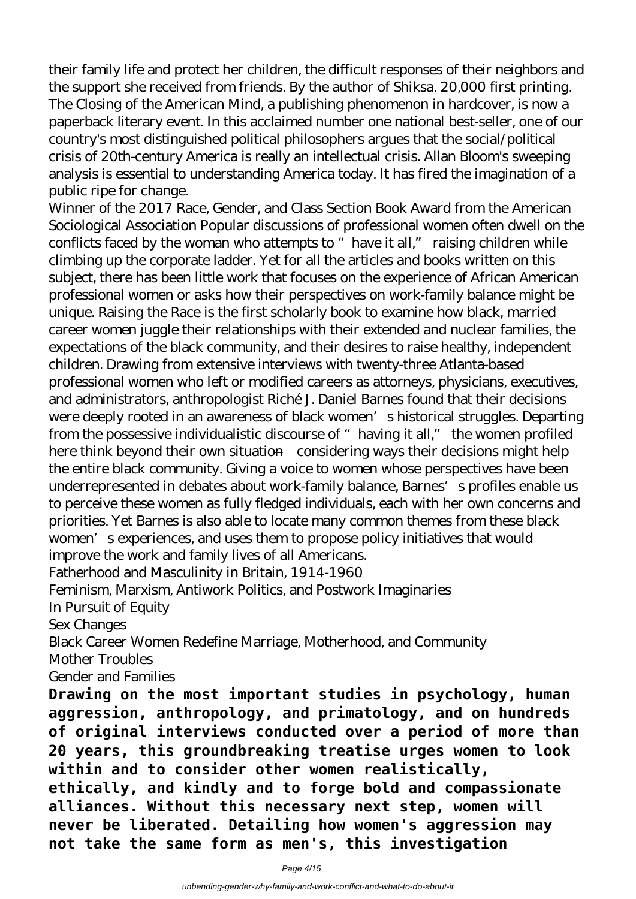their family life and protect her children, the difficult responses of their neighbors and the support she received from friends. By the author of Shiksa. 20,000 first printing. The Closing of the American Mind, a publishing phenomenon in hardcover, is now a paperback literary event. In this acclaimed number one national best-seller, one of our country's most distinguished political philosophers argues that the social/political crisis of 20th-century America is really an intellectual crisis. Allan Bloom's sweeping analysis is essential to understanding America today. It has fired the imagination of a public ripe for change.

Winner of the 2017 Race, Gender, and Class Section Book Award from the American Sociological Association Popular discussions of professional women often dwell on the conflicts faced by the woman who attempts to "have it all," raising children while climbing up the corporate ladder. Yet for all the articles and books written on this subject, there has been little work that focuses on the experience of African American professional women or asks how their perspectives on work-family balance might be unique. Raising the Race is the first scholarly book to examine how black, married career women juggle their relationships with their extended and nuclear families, the expectations of the black community, and their desires to raise healthy, independent children. Drawing from extensive interviews with twenty-three Atlanta-based professional women who left or modified careers as attorneys, physicians, executives, and administrators, anthropologist Riché J. Daniel Barnes found that their decisions were deeply rooted in an awareness of black women's historical struggles. Departing from the possessive individualistic discourse of "having it all," the women profiled here think beyond their own situation—considering ways their decisions might help the entire black community. Giving a voice to women whose perspectives have been underrepresented in debates about work-family balance, Barnes's profiles enable us to perceive these women as fully fledged individuals, each with her own concerns and priorities. Yet Barnes is also able to locate many common themes from these black women's experiences, and uses them to propose policy initiatives that would improve the work and family lives of all Americans.

Fatherhood and Masculinity in Britain, 1914-1960

Feminism, Marxism, Antiwork Politics, and Postwork Imaginaries

In Pursuit of Equity

Sex Changes

Black Career Women Redefine Marriage, Motherhood, and Community

Mother Troubles

Gender and Families

**Drawing on the most important studies in psychology, human aggression, anthropology, and primatology, and on hundreds of original interviews conducted over a period of more than 20 years, this groundbreaking treatise urges women to look within and to consider other women realistically, ethically, and kindly and to forge bold and compassionate alliances. Without this necessary next step, women will never be liberated. Detailing how women's aggression may not take the same form as men's, this investigation**

Page 4/15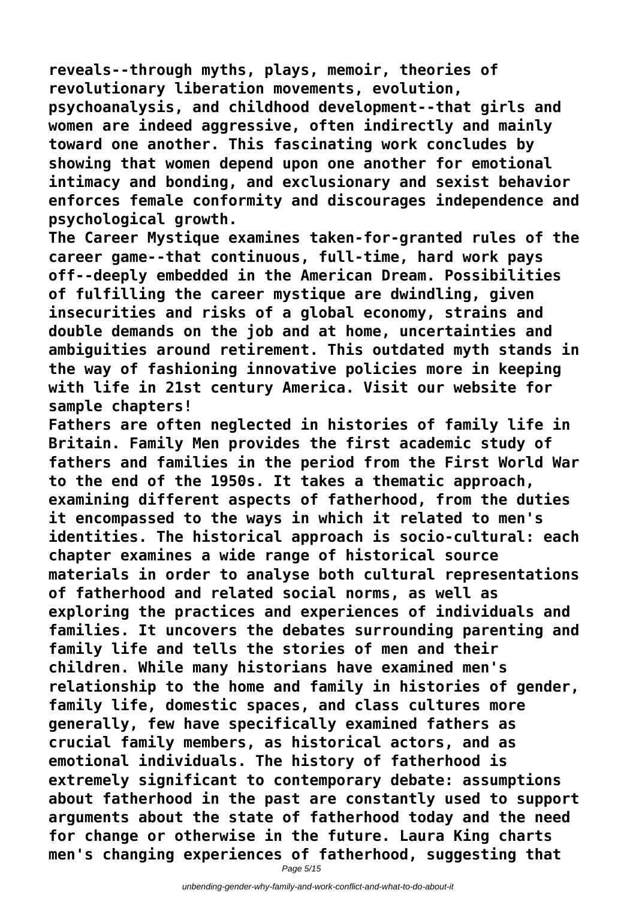**reveals--through myths, plays, memoir, theories of revolutionary liberation movements, evolution, psychoanalysis, and childhood development--that girls and women are indeed aggressive, often indirectly and mainly toward one another. This fascinating work concludes by showing that women depend upon one another for emotional intimacy and bonding, and exclusionary and sexist behavior enforces female conformity and discourages independence and psychological growth.**

**The Career Mystique examines taken-for-granted rules of the career game--that continuous, full-time, hard work pays off--deeply embedded in the American Dream. Possibilities of fulfilling the career mystique are dwindling, given insecurities and risks of a global economy, strains and double demands on the job and at home, uncertainties and ambiguities around retirement. This outdated myth stands in the way of fashioning innovative policies more in keeping with life in 21st century America. Visit our website for sample chapters!**

**Fathers are often neglected in histories of family life in Britain. Family Men provides the first academic study of fathers and families in the period from the First World War to the end of the 1950s. It takes a thematic approach, examining different aspects of fatherhood, from the duties it encompassed to the ways in which it related to men's identities. The historical approach is socio-cultural: each chapter examines a wide range of historical source materials in order to analyse both cultural representations of fatherhood and related social norms, as well as exploring the practices and experiences of individuals and families. It uncovers the debates surrounding parenting and family life and tells the stories of men and their children. While many historians have examined men's relationship to the home and family in histories of gender, family life, domestic spaces, and class cultures more generally, few have specifically examined fathers as crucial family members, as historical actors, and as emotional individuals. The history of fatherhood is extremely significant to contemporary debate: assumptions about fatherhood in the past are constantly used to support arguments about the state of fatherhood today and the need for change or otherwise in the future. Laura King charts men's changing experiences of fatherhood, suggesting that**

Page 5/15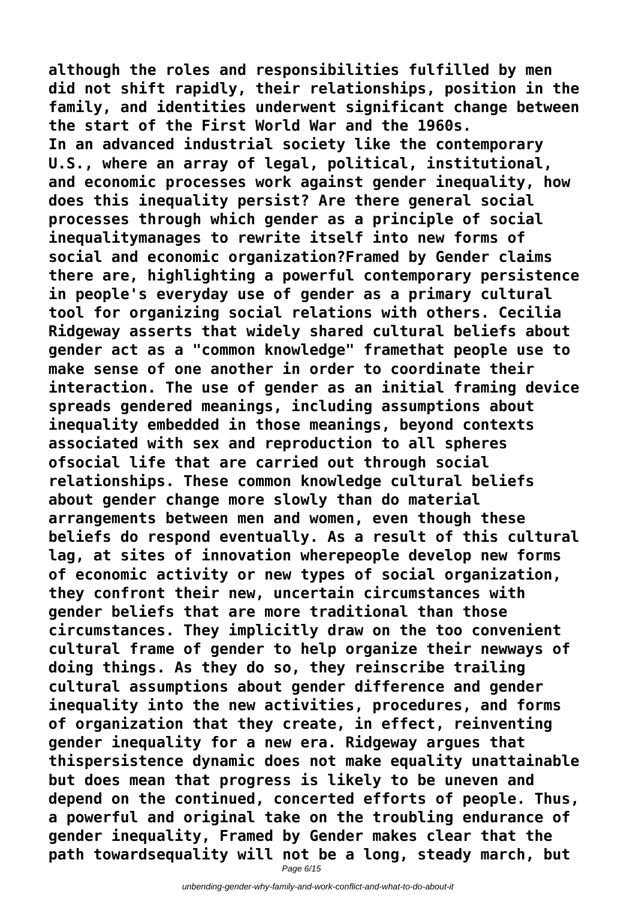**although the roles and responsibilities fulfilled by men did not shift rapidly, their relationships, position in the family, and identities underwent significant change between the start of the First World War and the 1960s. In an advanced industrial society like the contemporary U.S., where an array of legal, political, institutional, and economic processes work against gender inequality, how does this inequality persist? Are there general social processes through which gender as a principle of social inequalitymanages to rewrite itself into new forms of social and economic organization?Framed by Gender claims there are, highlighting a powerful contemporary persistence in people's everyday use of gender as a primary cultural tool for organizing social relations with others. Cecilia Ridgeway asserts that widely shared cultural beliefs about gender act as a "common knowledge" framethat people use to make sense of one another in order to coordinate their interaction. The use of gender as an initial framing device spreads gendered meanings, including assumptions about inequality embedded in those meanings, beyond contexts associated with sex and reproduction to all spheres ofsocial life that are carried out through social relationships. These common knowledge cultural beliefs about gender change more slowly than do material arrangements between men and women, even though these beliefs do respond eventually. As a result of this cultural lag, at sites of innovation wherepeople develop new forms of economic activity or new types of social organization, they confront their new, uncertain circumstances with gender beliefs that are more traditional than those circumstances. They implicitly draw on the too convenient cultural frame of gender to help organize their newways of doing things. As they do so, they reinscribe trailing cultural assumptions about gender difference and gender inequality into the new activities, procedures, and forms of organization that they create, in effect, reinventing gender inequality for a new era. Ridgeway argues that thispersistence dynamic does not make equality unattainable but does mean that progress is likely to be uneven and depend on the continued, concerted efforts of people. Thus, a powerful and original take on the troubling endurance of gender inequality, Framed by Gender makes clear that the path towardsequality will not be a long, steady march, but**

Page 6/15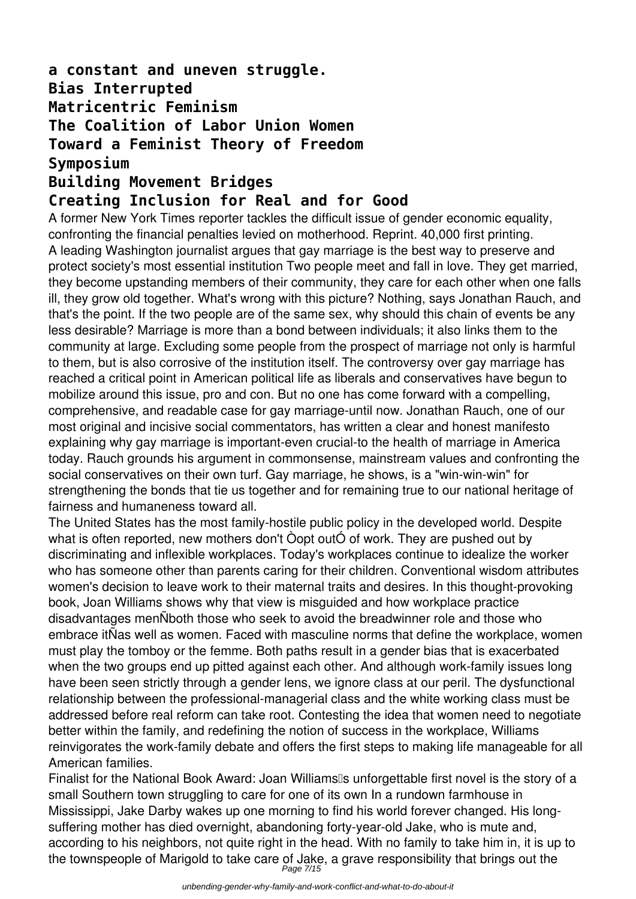### **a constant and uneven struggle. Bias Interrupted Matricentric Feminism The Coalition of Labor Union Women Toward a Feminist Theory of Freedom Symposium Building Movement Bridges**

### **Creating Inclusion for Real and for Good**

A former New York Times reporter tackles the difficult issue of gender economic equality, confronting the financial penalties levied on motherhood. Reprint. 40,000 first printing. A leading Washington journalist argues that gay marriage is the best way to preserve and protect society's most essential institution Two people meet and fall in love. They get married, they become upstanding members of their community, they care for each other when one falls ill, they grow old together. What's wrong with this picture? Nothing, says Jonathan Rauch, and that's the point. If the two people are of the same sex, why should this chain of events be any less desirable? Marriage is more than a bond between individuals; it also links them to the community at large. Excluding some people from the prospect of marriage not only is harmful to them, but is also corrosive of the institution itself. The controversy over gay marriage has reached a critical point in American political life as liberals and conservatives have begun to mobilize around this issue, pro and con. But no one has come forward with a compelling, comprehensive, and readable case for gay marriage-until now. Jonathan Rauch, one of our most original and incisive social commentators, has written a clear and honest manifesto explaining why gay marriage is important-even crucial-to the health of marriage in America today. Rauch grounds his argument in commonsense, mainstream values and confronting the social conservatives on their own turf. Gay marriage, he shows, is a "win-win-win" for strengthening the bonds that tie us together and for remaining true to our national heritage of fairness and humaneness toward all.

The United States has the most family-hostile public policy in the developed world. Despite what is often reported, new mothers don't Òopt outÓ of work. They are pushed out by discriminating and inflexible workplaces. Today's workplaces continue to idealize the worker who has someone other than parents caring for their children. Conventional wisdom attributes women's decision to leave work to their maternal traits and desires. In this thought-provoking book, Joan Williams shows why that view is misguided and how workplace practice disadvantages menÑboth those who seek to avoid the breadwinner role and those who embrace itÑas well as women. Faced with masculine norms that define the workplace, women must play the tomboy or the femme. Both paths result in a gender bias that is exacerbated when the two groups end up pitted against each other. And although work-family issues long have been seen strictly through a gender lens, we ignore class at our peril. The dysfunctional relationship between the professional-managerial class and the white working class must be addressed before real reform can take root. Contesting the idea that women need to negotiate better within the family, and redefining the notion of success in the workplace, Williams reinvigorates the work-family debate and offers the first steps to making life manageable for all American families.

Finalist for the National Book Award: Joan Williams<sup>®</sup>s unforgettable first novel is the story of a small Southern town struggling to care for one of its own In a rundown farmhouse in Mississippi, Jake Darby wakes up one morning to find his world forever changed. His longsuffering mother has died overnight, abandoning forty-year-old Jake, who is mute and, according to his neighbors, not quite right in the head. With no family to take him in, it is up to the townspeople of Marigold to take care of Jake, a grave responsibility that brings out the<br>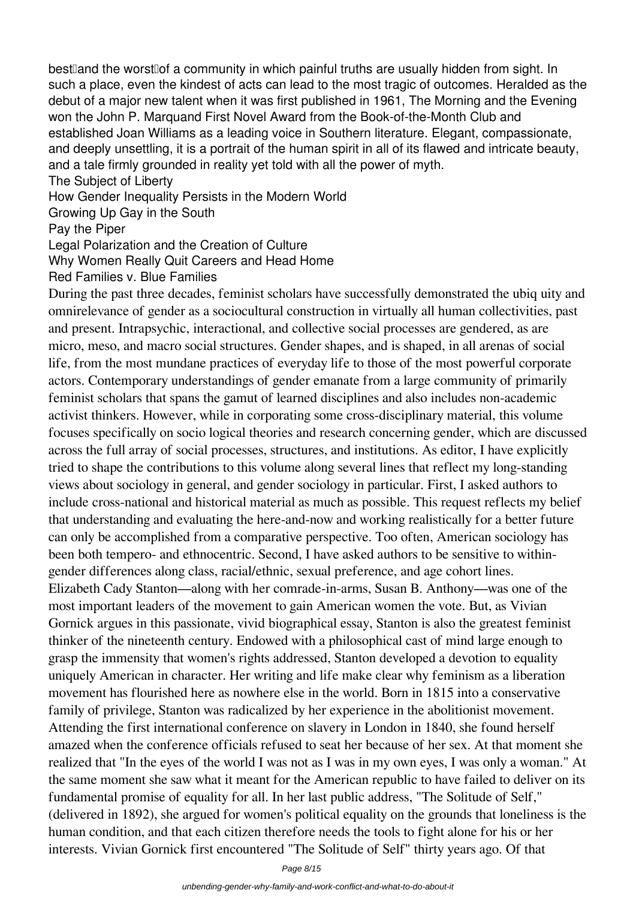best and the worst of a community in which painful truths are usually hidden from sight. In such a place, even the kindest of acts can lead to the most tragic of outcomes. Heralded as the debut of a major new talent when it was first published in 1961, The Morning and the Evening won the John P. Marquand First Novel Award from the Book-of-the-Month Club and established Joan Williams as a leading voice in Southern literature. Elegant, compassionate, and deeply unsettling, it is a portrait of the human spirit in all of its flawed and intricate beauty. and a tale firmly grounded in reality yet told with all the power of myth.

The Subject of Liberty

How Gender Inequality Persists in the Modern World

Growing Up Gay in the South

Pay the Piper

Legal Polarization and the Creation of Culture

Why Women Really Quit Careers and Head Home

Red Families v. Blue Families

During the past three decades, feminist scholars have successfully demonstrated the ubiq uity and omnirelevance of gender as a sociocultural construction in virtually all human collectivities, past and present. Intrapsychic, interactional, and collective social processes are gendered, as are micro, meso, and macro social structures. Gender shapes, and is shaped, in all arenas of social life, from the most mundane practices of everyday life to those of the most powerful corporate actors. Contemporary understandings of gender emanate from a large community of primarily feminist scholars that spans the gamut of learned disciplines and also includes non-academic activist thinkers. However, while in corporating some cross-disciplinary material, this volume focuses specifically on socio logical theories and research concerning gender, which are discussed across the full array of social processes, structures, and institutions. As editor, I have explicitly tried to shape the contributions to this volume along several lines that reflect my long-standing views about sociology in general, and gender sociology in particular. First, I asked authors to include cross-national and historical material as much as possible. This request reflects my belief that understanding and evaluating the here-and-now and working realistically for a better future can only be accomplished from a comparative perspective. Too often, American sociology has been both tempero- and ethnocentric. Second, I have asked authors to be sensitive to withingender differences along class, racial/ethnic, sexual preference, and age cohort lines. Elizabeth Cady Stanton—along with her comrade-in-arms, Susan B. Anthony—was one of the most important leaders of the movement to gain American women the vote. But, as Vivian Gornick argues in this passionate, vivid biographical essay, Stanton is also the greatest feminist thinker of the nineteenth century. Endowed with a philosophical cast of mind large enough to grasp the immensity that women's rights addressed, Stanton developed a devotion to equality uniquely American in character. Her writing and life make clear why feminism as a liberation movement has flourished here as nowhere else in the world. Born in 1815 into a conservative family of privilege, Stanton was radicalized by her experience in the abolitionist movement. Attending the first international conference on slavery in London in 1840, she found herself amazed when the conference officials refused to seat her because of her sex. At that moment she realized that "In the eyes of the world I was not as I was in my own eyes, I was only a woman." At the same moment she saw what it meant for the American republic to have failed to deliver on its fundamental promise of equality for all. In her last public address, "The Solitude of Self," (delivered in 1892), she argued for women's political equality on the grounds that loneliness is the human condition, and that each citizen therefore needs the tools to fight alone for his or her interests. Vivian Gornick first encountered "The Solitude of Self" thirty years ago. Of that

Page 8/15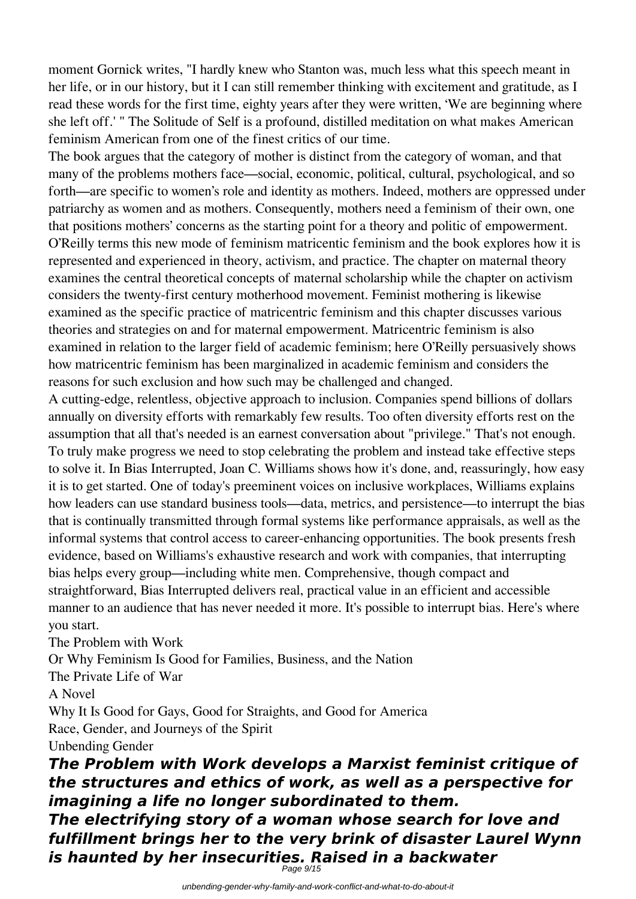moment Gornick writes, "I hardly knew who Stanton was, much less what this speech meant in her life, or in our history, but it I can still remember thinking with excitement and gratitude, as I read these words for the first time, eighty years after they were written, 'We are beginning where she left off.' " The Solitude of Self is a profound, distilled meditation on what makes American feminism American from one of the finest critics of our time.

The book argues that the category of mother is distinct from the category of woman, and that many of the problems mothers face—social, economic, political, cultural, psychological, and so forth—are specific to women's role and identity as mothers. Indeed, mothers are oppressed under patriarchy as women and as mothers. Consequently, mothers need a feminism of their own, one that positions mothers' concerns as the starting point for a theory and politic of empowerment. O'Reilly terms this new mode of feminism matricentic feminism and the book explores how it is represented and experienced in theory, activism, and practice. The chapter on maternal theory examines the central theoretical concepts of maternal scholarship while the chapter on activism considers the twenty-first century motherhood movement. Feminist mothering is likewise examined as the specific practice of matricentric feminism and this chapter discusses various theories and strategies on and for maternal empowerment. Matricentric feminism is also examined in relation to the larger field of academic feminism; here O'Reilly persuasively shows how matricentric feminism has been marginalized in academic feminism and considers the reasons for such exclusion and how such may be challenged and changed.

A cutting-edge, relentless, objective approach to inclusion. Companies spend billions of dollars annually on diversity efforts with remarkably few results. Too often diversity efforts rest on the assumption that all that's needed is an earnest conversation about "privilege." That's not enough. To truly make progress we need to stop celebrating the problem and instead take effective steps to solve it. In Bias Interrupted, Joan C. Williams shows how it's done, and, reassuringly, how easy it is to get started. One of today's preeminent voices on inclusive workplaces, Williams explains how leaders can use standard business tools—data, metrics, and persistence—to interrupt the bias that is continually transmitted through formal systems like performance appraisals, as well as the informal systems that control access to career-enhancing opportunities. The book presents fresh evidence, based on Williams's exhaustive research and work with companies, that interrupting bias helps every group—including white men. Comprehensive, though compact and straightforward, Bias Interrupted delivers real, practical value in an efficient and accessible manner to an audience that has never needed it more. It's possible to interrupt bias. Here's where you start.

The Problem with Work

Or Why Feminism Is Good for Families, Business, and the Nation

The Private Life of War

A Novel

Why It Is Good for Gays, Good for Straights, and Good for America Race, Gender, and Journeys of the Spirit

Unbending Gender

*The Problem with Work develops a Marxist feminist critique of the structures and ethics of work, as well as a perspective for imagining a life no longer subordinated to them. The electrifying story of a woman whose search for love and fulfillment brings her to the very brink of disaster Laurel Wynn is haunted by her insecurities. Raised in a backwater* Page 9/15

unbending-gender-why-family-and-work-conflict-and-what-to-do-about-it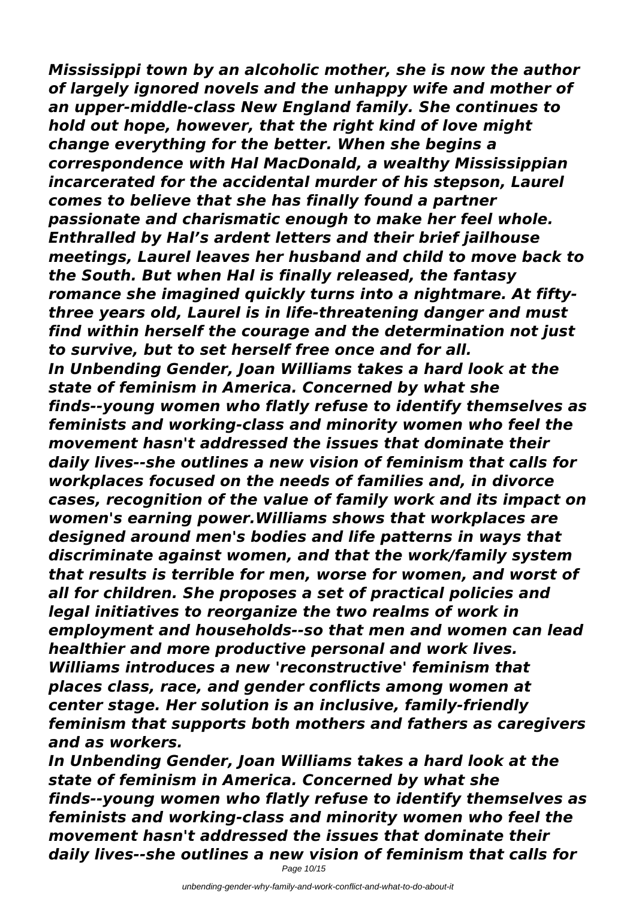*Mississippi town by an alcoholic mother, she is now the author of largely ignored novels and the unhappy wife and mother of an upper-middle-class New England family. She continues to hold out hope, however, that the right kind of love might change everything for the better. When she begins a correspondence with Hal MacDonald, a wealthy Mississippian incarcerated for the accidental murder of his stepson, Laurel comes to believe that she has finally found a partner passionate and charismatic enough to make her feel whole. Enthralled by Hal's ardent letters and their brief jailhouse meetings, Laurel leaves her husband and child to move back to the South. But when Hal is finally released, the fantasy romance she imagined quickly turns into a nightmare. At fiftythree years old, Laurel is in life-threatening danger and must find within herself the courage and the determination not just to survive, but to set herself free once and for all. In Unbending Gender, Joan Williams takes a hard look at the state of feminism in America. Concerned by what she finds--young women who flatly refuse to identify themselves as feminists and working-class and minority women who feel the movement hasn't addressed the issues that dominate their daily lives--she outlines a new vision of feminism that calls for workplaces focused on the needs of families and, in divorce cases, recognition of the value of family work and its impact on women's earning power.Williams shows that workplaces are designed around men's bodies and life patterns in ways that discriminate against women, and that the work/family system that results is terrible for men, worse for women, and worst of all for children. She proposes a set of practical policies and legal initiatives to reorganize the two realms of work in employment and households--so that men and women can lead healthier and more productive personal and work lives. Williams introduces a new 'reconstructive' feminism that places class, race, and gender conflicts among women at center stage. Her solution is an inclusive, family-friendly feminism that supports both mothers and fathers as caregivers and as workers.*

*In Unbending Gender, Joan Williams takes a hard look at the state of feminism in America. Concerned by what she finds--young women who flatly refuse to identify themselves as feminists and working-class and minority women who feel the movement hasn't addressed the issues that dominate their daily lives--she outlines a new vision of feminism that calls for*

Page 10/15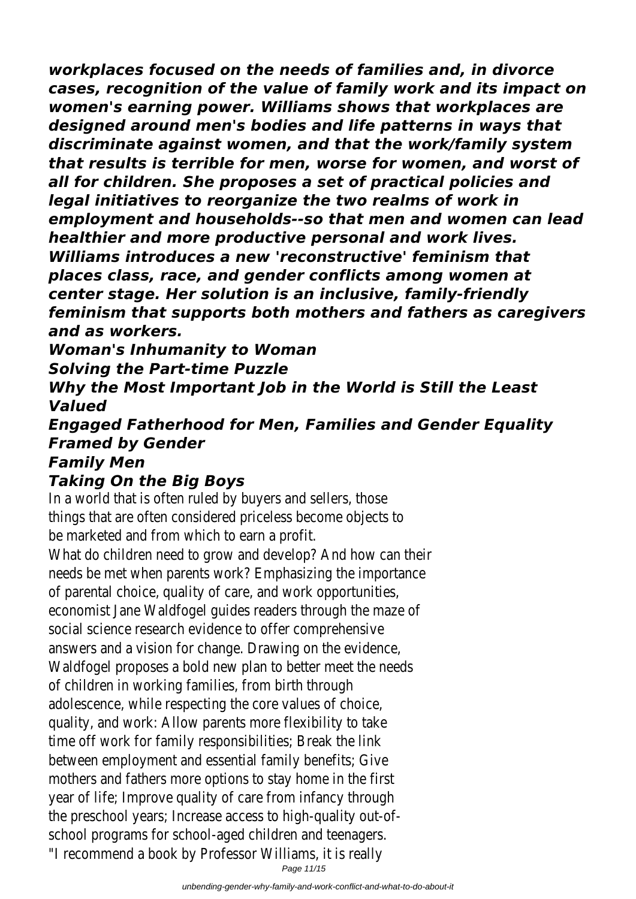*workplaces focused on the needs of families and, in divorce cases, recognition of the value of family work and its impact on women's earning power. Williams shows that workplaces are designed around men's bodies and life patterns in ways that discriminate against women, and that the work/family system that results is terrible for men, worse for women, and worst of all for children. She proposes a set of practical policies and legal initiatives to reorganize the two realms of work in employment and households--so that men and women can lead healthier and more productive personal and work lives. Williams introduces a new 'reconstructive' feminism that places class, race, and gender conflicts among women at center stage. Her solution is an inclusive, family-friendly feminism that supports both mothers and fathers as caregivers and as workers.*

*Woman's Inhumanity to Woman Solving the Part-time Puzzle*

*Why the Most Important Job in the World is Still the Least Valued*

*Engaged Fatherhood for Men, Families and Gender Equality Framed by Gender Family Men*

## *Taking On the Big Boys*

In a world that is often ruled by buyers and sellers, those things that are often considered priceless become objects to be marketed and from which to earn a profit.

What do children need to grow and develop? And how can their needs be met when parents work? Emphasizing the importance of parental choice, quality of care, and work opportunities, economist Jane Waldfogel guides readers through the maze of social science research evidence to offer comprehensive answers and a vision for change. Drawing on the evidence, Waldfogel proposes a bold new plan to better meet the needs of children in working families, from birth through adolescence, while respecting the core values of choice, quality, and work: Allow parents more flexibility to take time off work for family responsibilities; Break the link between employment and essential family benefits; Give mothers and fathers more options to stay home in the first year of life; Improve quality of care from infancy through the preschool years; Increase access to high-quality out-ofschool programs for school-aged children and teenagers. "I recommend a book by Professor Williams, it is really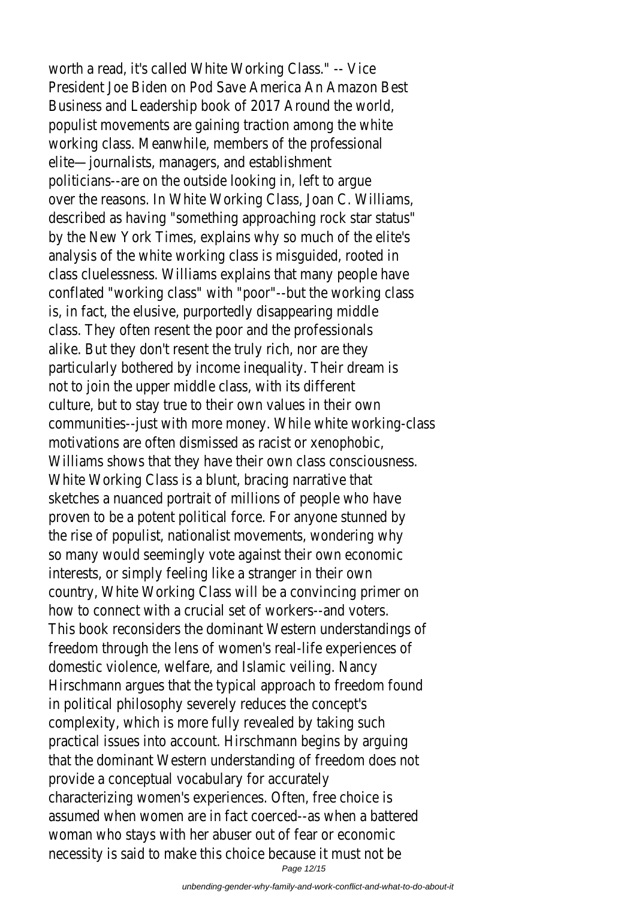worth a read, it's called White Working Class." -- Vice President Joe Biden on Pod Save America An Amazon Best Business and Leadership book of 2017 Around the world, populist movements are gaining traction among the white working class. Meanwhile, members of the professional elite—journalists, managers, and establishment politicians--are on the outside looking in, left to argue over the reasons. In White Working Class, Joan C. Williams, described as having "something approaching rock star status" by the New York Times, explains why so much of the elite's analysis of the white working class is misguided, rooted in class cluelessness. Williams explains that many people have conflated "working class" with "poor"--but the working class is, in fact, the elusive, purportedly disappearing middle class. They often resent the poor and the professionals alike. But they don't resent the truly rich, nor are they particularly bothered by income inequality. Their dream is not to join the upper middle class, with its different culture, but to stay true to their own values in their own communities--just with more money. While white working-class motivations are often dismissed as racist or xenophobic, Williams shows that they have their own class consciousness. White Working Class is a blunt, bracing narrative that sketches a nuanced portrait of millions of people who have proven to be a potent political force. For anyone stunned by the rise of populist, nationalist movements, wondering why so many would seemingly vote against their own economic interests, or simply feeling like a stranger in their own country, White Working Class will be a convincing primer on how to connect with a crucial set of workers--and voters. This book reconsiders the dominant Western understandings of freedom through the lens of women's real-life experiences of domestic violence, welfare, and Islamic veiling. Nancy Hirschmann argues that the typical approach to freedom found in political philosophy severely reduces the concept's complexity, which is more fully revealed by taking such practical issues into account. Hirschmann begins by arguing that the dominant Western understanding of freedom does not provide a conceptual vocabulary for accurately characterizing women's experiences. Often, free choice is assumed when women are in fact coerced--as when a battered woman who stays with her abuser out of fear or economic necessity is said to make this choice because it must not be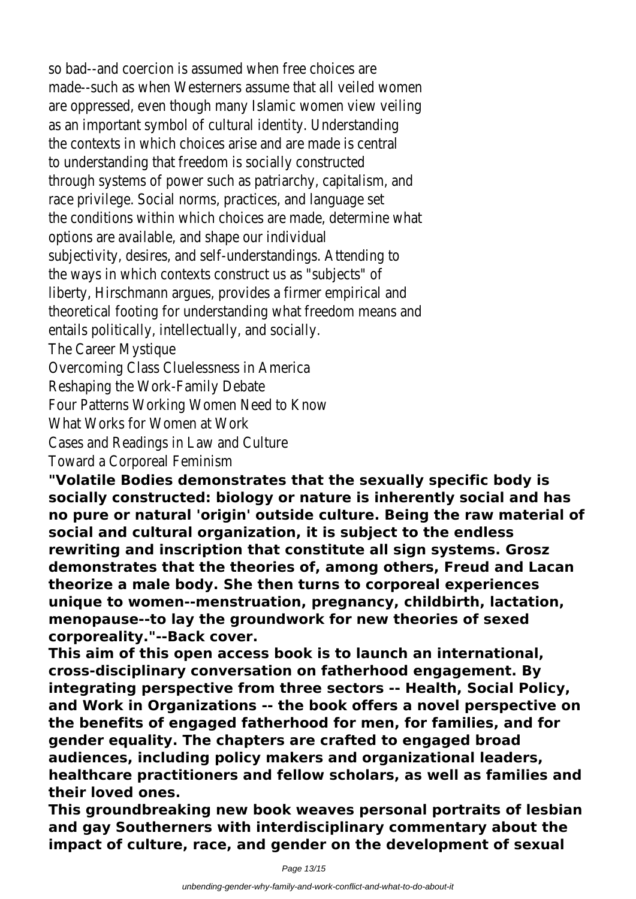so bad--and coercion is assumed when free choices are made--such as when Westerners assume that all veiled women are oppressed, even though many Islamic women view veiling as an important symbol of cultural identity. Understanding the contexts in which choices arise and are made is central to understanding that freedom is socially constructed through systems of power such as patriarchy, capitalism, and race privilege. Social norms, practices, and language set the conditions within which choices are made, determine what options are available, and shape our individual subjectivity, desires, and self-understandings. Attending to the ways in which contexts construct us as "subjects" of liberty, Hirschmann argues, provides a firmer empirical and theoretical footing for understanding what freedom means and entails politically, intellectually, and socially. The Career Mystique Overcoming Class Cluelessness in America Reshaping the Work-Family Debate Four Patterns Working Women Need to Know What Works for Women at Work Cases and Readings in Law and Culture

Toward a Corporeal Feminism

**"Volatile Bodies demonstrates that the sexually specific body is socially constructed: biology or nature is inherently social and has no pure or natural 'origin' outside culture. Being the raw material of social and cultural organization, it is subject to the endless rewriting and inscription that constitute all sign systems. Grosz demonstrates that the theories of, among others, Freud and Lacan theorize a male body. She then turns to corporeal experiences unique to women--menstruation, pregnancy, childbirth, lactation, menopause--to lay the groundwork for new theories of sexed corporeality."--Back cover.**

**This aim of this open access book is to launch an international, cross-disciplinary conversation on fatherhood engagement. By integrating perspective from three sectors -- Health, Social Policy, and Work in Organizations -- the book offers a novel perspective on the benefits of engaged fatherhood for men, for families, and for gender equality. The chapters are crafted to engaged broad audiences, including policy makers and organizational leaders, healthcare practitioners and fellow scholars, as well as families and their loved ones.**

**This groundbreaking new book weaves personal portraits of lesbian and gay Southerners with interdisciplinary commentary about the impact of culture, race, and gender on the development of sexual**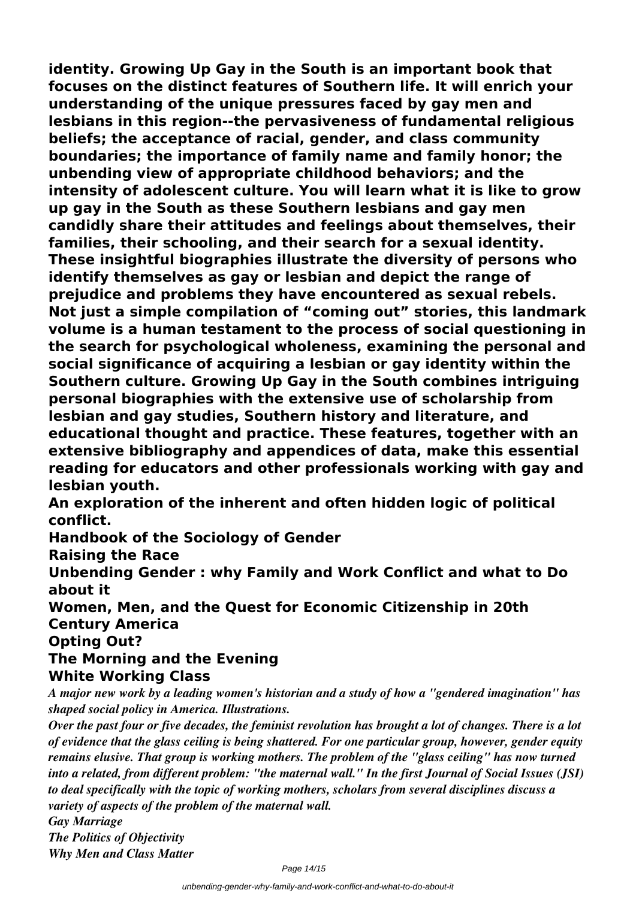**identity. Growing Up Gay in the South is an important book that focuses on the distinct features of Southern life. It will enrich your understanding of the unique pressures faced by gay men and lesbians in this region--the pervasiveness of fundamental religious beliefs; the acceptance of racial, gender, and class community boundaries; the importance of family name and family honor; the unbending view of appropriate childhood behaviors; and the intensity of adolescent culture. You will learn what it is like to grow up gay in the South as these Southern lesbians and gay men candidly share their attitudes and feelings about themselves, their families, their schooling, and their search for a sexual identity. These insightful biographies illustrate the diversity of persons who identify themselves as gay or lesbian and depict the range of prejudice and problems they have encountered as sexual rebels. Not just a simple compilation of "coming out" stories, this landmark volume is a human testament to the process of social questioning in the search for psychological wholeness, examining the personal and social significance of acquiring a lesbian or gay identity within the Southern culture. Growing Up Gay in the South combines intriguing personal biographies with the extensive use of scholarship from lesbian and gay studies, Southern history and literature, and educational thought and practice. These features, together with an extensive bibliography and appendices of data, make this essential reading for educators and other professionals working with gay and lesbian youth.**

**An exploration of the inherent and often hidden logic of political conflict.**

**Handbook of the Sociology of Gender**

**Raising the Race**

**Unbending Gender : why Family and Work Conflict and what to Do about it**

**Women, Men, and the Quest for Economic Citizenship in 20th Century America**

**Opting Out?**

### **The Morning and the Evening White Working Class**

*A major new work by a leading women's historian and a study of how a "gendered imagination" has shaped social policy in America. Illustrations.*

*Over the past four or five decades, the feminist revolution has brought a lot of changes. There is a lot of evidence that the glass ceiling is being shattered. For one particular group, however, gender equity remains elusive. That group is working mothers. The problem of the "glass ceiling" has now turned into a related, from different problem: "the maternal wall." In the first Journal of Social Issues (JSI) to deal specifically with the topic of working mothers, scholars from several disciplines discuss a variety of aspects of the problem of the maternal wall.*

*Gay Marriage The Politics of Objectivity Why Men and Class Matter*